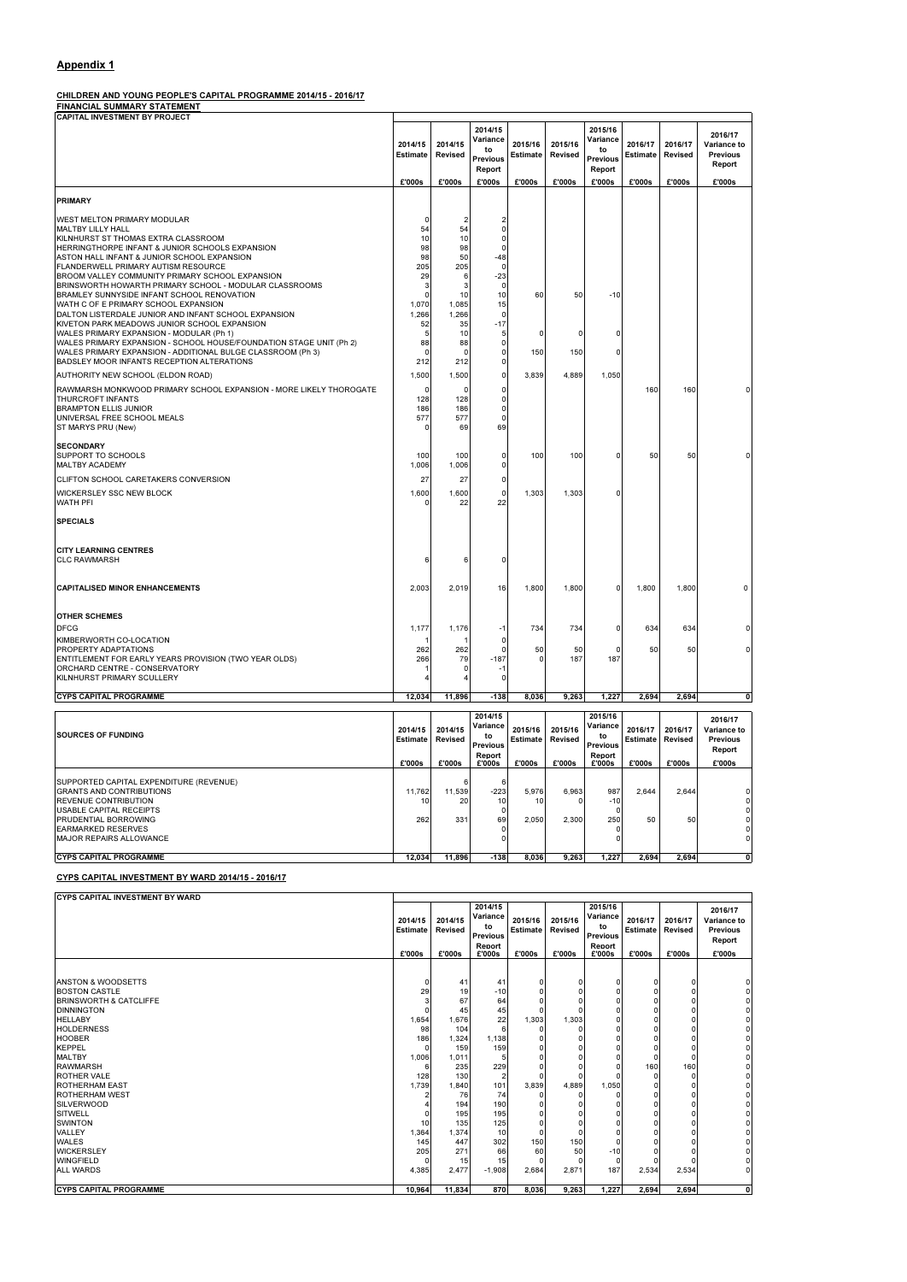## Appendix 1

## CHILDREN AND YOUNG PEOPLE'S CAPITAL PROGRAMME 2014/15 - 2016/17

FINANCIAL SUMMARY STATEMENT

| <b>CAPITAL INVESTMENT BY PROJECT</b>                                                                                                                                                                                                                                                                     |                                        |                                            |                                                                  |                               |                                     |                                                           |                               |                                     |                                                               |
|----------------------------------------------------------------------------------------------------------------------------------------------------------------------------------------------------------------------------------------------------------------------------------------------------------|----------------------------------------|--------------------------------------------|------------------------------------------------------------------|-------------------------------|-------------------------------------|-----------------------------------------------------------|-------------------------------|-------------------------------------|---------------------------------------------------------------|
|                                                                                                                                                                                                                                                                                                          | 2014/15<br><b>Estimate</b><br>£'000s   | 2014/15<br>Revised<br>£'000s               | 2014/15<br>Variance<br>to<br><b>Previous</b><br>Report<br>£'000s | 2015/16<br>Estimate<br>£'000s | 2015/16<br><b>Revised</b><br>£'000s | 2015/16<br>Variance<br>to<br>Previous<br>Report<br>£'000s | 2016/17<br>Estimate<br>£'000s | 2016/17<br><b>Revised</b><br>£'000s | 2016/17<br>Variance to<br><b>Previous</b><br>Report<br>£'000s |
|                                                                                                                                                                                                                                                                                                          |                                        |                                            |                                                                  |                               |                                     |                                                           |                               |                                     |                                                               |
| <b>PRIMARY</b>                                                                                                                                                                                                                                                                                           |                                        |                                            |                                                                  |                               |                                     |                                                           |                               |                                     |                                                               |
| <b>WEST MELTON PRIMARY MODULAR</b><br><b>MALTBY LILLY HALL</b><br>KILNHURST ST THOMAS EXTRA CLASSROOM<br>HERRINGTHORPE INFANT & JUNIOR SCHOOLS EXPANSION<br>ASTON HALL INFANT & JUNIOR SCHOOL EXPANSION<br><b>FLANDERWELL PRIMARY AUTISM RESOURCE</b><br>BROOM VALLEY COMMUNITY PRIMARY SCHOOL EXPANSION | O<br>54<br>10<br>98<br>98<br>205<br>29 | 2<br>54<br>10<br>98<br>50<br>205<br>6<br>3 | 0<br>0<br>0<br>-48<br>O<br>$-23$<br>0                            |                               |                                     |                                                           |                               |                                     |                                                               |
| BRINSWORTH HOWARTH PRIMARY SCHOOL - MODULAR CLASSROOMS<br>BRAMLEY SUNNYSIDE INFANT SCHOOL RENOVATION<br>WATH C OF E PRIMARY SCHOOL EXPANSION<br>DALTON LISTERDALE JUNIOR AND INFANT SCHOOL EXPANSION<br>KIVETON PARK MEADOWS JUNIOR SCHOOL EXPANSION                                                     | З<br>0<br>1,070<br>1,266<br>52         | 10<br>1,085<br>1,266<br>35                 | 10<br>15<br>0<br>$-17$                                           | 60                            | 50                                  | $-10$                                                     |                               |                                     |                                                               |
| WALES PRIMARY EXPANSION - MODULAR (Ph 1)<br>WALES PRIMARY EXPANSION - SCHOOL HOUSE/FOUNDATION STAGE UNIT (Ph 2)<br>WALES PRIMARY EXPANSION - ADDITIONAL BULGE CLASSROOM (Ph 3)<br>BADSLEY MOOR INFANTS RECEPTION ALTERATIONS                                                                             | 5<br>88<br>0<br>212                    | 10<br>88<br>0<br>212                       | 5<br>0<br>0<br>0                                                 | $^{\circ}$<br>150             | O<br>150                            | O<br>n                                                    |                               |                                     |                                                               |
| AUTHORITY NEW SCHOOL (ELDON ROAD)                                                                                                                                                                                                                                                                        | 1,500                                  | 1,500                                      | 0                                                                | 3,839                         | 4,889                               | 1,050                                                     |                               |                                     |                                                               |
| RAWMARSH MONKWOOD PRIMARY SCHOOL EXPANSION - MORE LIKELY THOROGATE<br><b>THURCROFT INFANTS</b><br><b>BRAMPTON ELLIS JUNIOR</b><br>UNIVERSAL FREE SCHOOL MEALS<br>ST MARYS PRU (New)                                                                                                                      | 0<br>128<br>186<br>577                 | 0<br>128<br>186<br>577<br>69               | 0<br>0<br>0<br>0<br>69                                           |                               |                                     |                                                           | 160                           | 160                                 |                                                               |
| <b>SECONDARY</b><br><b>SUPPORT TO SCHOOLS</b><br><b>MALTBY ACADEMY</b>                                                                                                                                                                                                                                   | 100<br>1,006                           | 100<br>1,006                               | 0<br>0                                                           | 100                           | 100                                 | 0                                                         | 50                            | 50                                  |                                                               |
| <b>CLIFTON SCHOOL CARETAKERS CONVERSION</b>                                                                                                                                                                                                                                                              | 27                                     | 27                                         | 0                                                                |                               |                                     |                                                           |                               |                                     |                                                               |
| <b>WICKERSLEY SSC NEW BLOCK</b><br><b>WATH PFI</b>                                                                                                                                                                                                                                                       | 1,600<br>O                             | 1,600<br>22                                | 0<br>22                                                          | 1,303                         | 1,303                               |                                                           |                               |                                     |                                                               |
| <b>SPECIALS</b>                                                                                                                                                                                                                                                                                          |                                        |                                            |                                                                  |                               |                                     |                                                           |                               |                                     |                                                               |
| <b>CITY LEARNING CENTRES</b><br><b>CLC RAWMARSH</b>                                                                                                                                                                                                                                                      | 6                                      | 6                                          | n                                                                |                               |                                     |                                                           |                               |                                     |                                                               |
| <b>CAPITALISED MINOR ENHANCEMENTS</b>                                                                                                                                                                                                                                                                    | 2,003                                  | 2,019                                      | 16                                                               | 1,800                         | 1,800                               | 0                                                         | 1,800                         | 1,800                               | 0                                                             |
| <b>OTHER SCHEMES</b><br><b>DFCG</b>                                                                                                                                                                                                                                                                      | 1,177                                  | 1,176                                      | -1                                                               | 734                           | 734                                 | 0                                                         | 634                           | 634                                 | 0                                                             |
| KIMBERWORTH CO-LOCATION                                                                                                                                                                                                                                                                                  |                                        | 1                                          | O                                                                |                               |                                     |                                                           |                               |                                     |                                                               |
| PROPERTY ADAPTATIONS<br>ENTITLEMENT FOR EARLY YEARS PROVISION (TWO YEAR OLDS)<br>ORCHARD CENTRE - CONSERVATORY<br>KILNHURST PRIMARY SCULLERY                                                                                                                                                             | 262<br>266                             | 262<br>79<br>0<br>4                        | $\Omega$<br>$-187$<br>-1<br>0                                    | 50<br>0                       | 50<br>187                           | O<br>187                                                  | 50                            | 50                                  | $\Omega$                                                      |
| <b>CYPS CAPITAL PROGRAMME</b>                                                                                                                                                                                                                                                                            | 12,034                                 | 11,896                                     | $-138$                                                           | 8,036                         | 9,263                               | 1,227                                                     | 2,694                         | 2,694                               | $\mathbf{0}$                                                  |
|                                                                                                                                                                                                                                                                                                          |                                        |                                            |                                                                  |                               |                                     |                                                           |                               |                                     |                                                               |
| <b>SOURCES OF FUNDING</b>                                                                                                                                                                                                                                                                                | 2014/15<br><b>Estimate</b>             | 2014/15<br>Revised                         | 2014/15<br>Variance<br>to<br><b>Previous</b><br>Report           | 2015/16<br><b>Estimate</b>    | 2015/16<br><b>Revised</b>           | 2015/16<br>Variance<br>to<br><b>Previous</b><br>Report    | 2016/17<br>Estimate           | 2016/17<br>Revised                  | 2016/17<br>Variance to<br><b>Previous</b><br>Report           |
|                                                                                                                                                                                                                                                                                                          | £'000s                                 | £'000s                                     | £'000s                                                           | £'000s                        | £'000s                              | £'000s                                                    | £'000s                        | £'000s                              | £'000s                                                        |
| SUPPORTED CAPITAL EXPENDITURE (REVENUE)<br><b>GRANTS AND CONTRIBUTIONS</b><br>REVENUE CONTRIBUTION<br>USABLE CAPITAL RECEIPTS<br>PRUDENTIAL BORROWING                                                                                                                                                    | 11,762<br>10<br>262                    | 6<br>11,539<br>20<br>331                   | 6<br>$-223$<br>10<br>0<br>69                                     | 5,976<br>10<br>2,050          | 6,963<br>O<br>2,300                 | 987<br>$-10$<br>0<br>250                                  | 2,644<br>50                   | 2,644<br>50                         | $\mathbf 0$<br>$\mathbf 0$<br>$\circ$<br>$\circ$              |
| <b>EARMARKED RESERVES</b><br><b>MAJOR REPAIRS ALLOWANCE</b>                                                                                                                                                                                                                                              |                                        |                                            | 0<br>0                                                           |                               |                                     | O<br>0                                                    |                               |                                     | $\circ$<br>$\mathsf{o}$                                       |
| <b>CYPS CAPITAL PROGRAMME</b>                                                                                                                                                                                                                                                                            | 12,034                                 | 11,896                                     | $-138$                                                           | 8,036                         | 9,263                               | 1,227                                                     | 2,694                         | 2,694                               | $\mathbf{0}$                                                  |

## CYPS CAPITAL INVESTMENT BY WARD 2014/15 - 2016/17

| <b>ICYPS CAPITAL INVESTMENT BY WARD</b> |                                      |                                                        |                                                                  |                                      |                              |                                                                  |                   |                                              |                                                               |
|-----------------------------------------|--------------------------------------|--------------------------------------------------------|------------------------------------------------------------------|--------------------------------------|------------------------------|------------------------------------------------------------------|-------------------|----------------------------------------------|---------------------------------------------------------------|
|                                         | 2014/15<br><b>Estimate</b><br>£'000s | 2014/15<br>Revised<br>$\varepsilon$ '000 $\varepsilon$ | 2014/15<br>Variance<br>to<br><b>Previous</b><br>Report<br>£'000s | 2015/16<br><b>Estimate</b><br>£'000s | 2015/16<br>Revised<br>£'000s | 2015/16<br>Variance<br>to<br><b>Previous</b><br>Report<br>£'000s | 2016/17<br>£'000s | 2016/17<br><b>Estimate Revised</b><br>£'000s | 2016/17<br>Variance to<br><b>Previous</b><br>Report<br>£'000s |
|                                         |                                      |                                                        |                                                                  |                                      |                              |                                                                  |                   |                                              |                                                               |

| <b>ANSTON &amp; WOODSETTS</b>     |        | 41     | 41       | 0     |       | $\Omega$ | 0            | $\Omega$ |  |
|-----------------------------------|--------|--------|----------|-------|-------|----------|--------------|----------|--|
| <b>BOSTON CASTLE</b>              | 29     | 19     | $-10$    |       |       |          |              | 0        |  |
| <b>BRINSWORTH &amp; CATCLIFFE</b> |        | 67     | 64       |       |       |          | n            | 0        |  |
| <b>DINNINGTON</b>                 |        | 45     | 45       |       |       |          |              |          |  |
| <b>HELLABY</b>                    | 1,654  | 1,676  | 22       | 1,303 | 1,303 |          |              | $\Omega$ |  |
| <b>HOLDERNESS</b>                 | 98     | 104    | 6        |       |       |          |              | 0        |  |
| <b>HOOBER</b>                     | 186    | 1,324  | 1,138    |       |       |          |              | $\Omega$ |  |
| <b>KEPPEL</b>                     |        | 159    | 159      |       |       |          |              | 0        |  |
| <b>MALTBY</b>                     | 1,006  | 1,011  |          |       |       |          |              | 0        |  |
| <b>RAWMARSH</b>                   |        | 235    | 229      |       |       | -C       | 160          | 160      |  |
| <b>ROTHER VALE</b>                | 128    | 130    |          |       |       |          | <sup>0</sup> |          |  |
| <b>ROTHERHAM EAST</b>             | 1,739  | 1,840  | 101      | 3,839 | 4,889 | 1,050    | <sup>0</sup> | 0        |  |
| <b>ROTHERHAM WEST</b>             |        | 76     | 74       |       |       |          |              | 0        |  |
| <b>SILVERWOOD</b>                 |        | 194    | 190      |       |       |          |              | O        |  |
| <b>SITWELL</b>                    |        | 195    | 195      |       |       |          |              |          |  |
| <b>SWINTON</b>                    | 10     | 135    | 125      |       |       |          |              |          |  |
| <b>VALLEY</b>                     | 1,364  | 1,374  | 10       |       |       |          |              |          |  |
| <b>WALES</b>                      | 145    | 447    | 302      | 150   | 150   |          |              |          |  |
| <b>WICKERSLEY</b>                 | 205    | 271    | 66       | 60    | 50    | $-10$    |              |          |  |
| <b>WINGFIELD</b>                  |        | 15     | 15       |       |       |          |              |          |  |
| <b>ALL WARDS</b>                  | 4,385  | 2,477  | $-1,908$ | 2,684 | 2,871 | 187      | 2,534        | 2,534    |  |
|                                   |        |        |          |       |       |          |              |          |  |
| <b>CYPS CAPITAL PROGRAMME</b>     | 10,964 | 11,834 | 870      | 8,036 | 9,263 | 1,227    | 2,694        | 2,694    |  |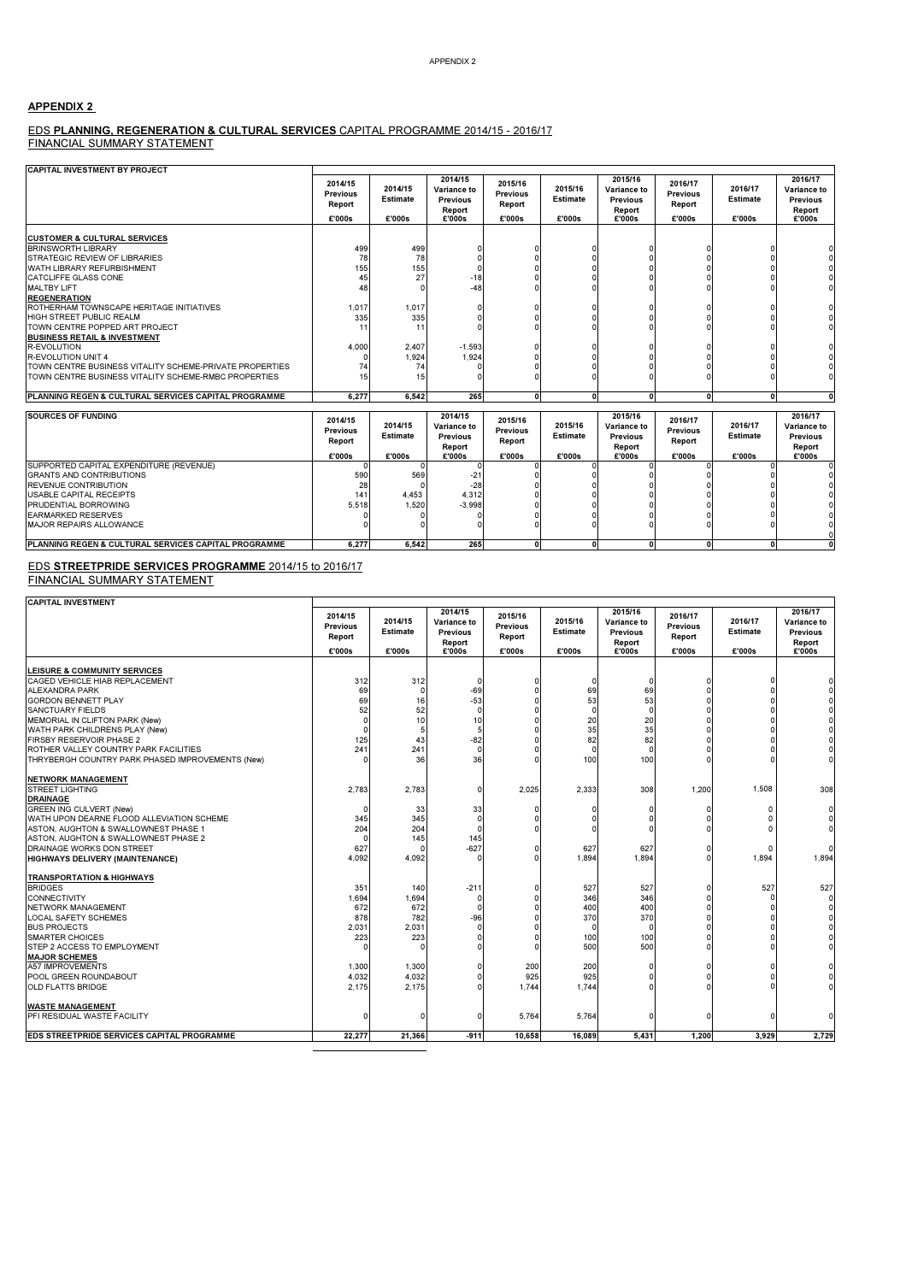### APPENDIX 2

# EDS **PLANNING, REGENERATION & CULTURAL SERVICES** CAPITAL PROGRAMME 2014/15 - 2016/17<br>FINANCIAL SUMMARY STATEMENT

| <b>CAPITAL INVESTMENT BY PROJECT</b>                            |                                                |                                      |                                                               |                                                |                                      |                                                               |                                                |                                      |                                                               |
|-----------------------------------------------------------------|------------------------------------------------|--------------------------------------|---------------------------------------------------------------|------------------------------------------------|--------------------------------------|---------------------------------------------------------------|------------------------------------------------|--------------------------------------|---------------------------------------------------------------|
|                                                                 | 2014/15<br><b>Previous</b><br>Report<br>£'000s | 2014/15<br><b>Estimate</b><br>£'000s | 2014/15<br>Variance to<br><b>Previous</b><br>Report<br>£'000s | 2015/16<br><b>Previous</b><br>Report<br>£'000s | 2015/16<br><b>Estimate</b><br>£'000s | 2015/16<br>Variance to<br><b>Previous</b><br>Report<br>£'000s | 2016/17<br><b>Previous</b><br>Report<br>£'000s | 2016/17<br><b>Estimate</b><br>£'000s | 2016/17<br>Variance to<br><b>Previous</b><br>Report<br>£'000s |
|                                                                 |                                                |                                      |                                                               |                                                |                                      |                                                               |                                                |                                      |                                                               |
| <b>CUSTOMER &amp; CULTURAL SERVICES</b>                         |                                                |                                      |                                                               |                                                |                                      |                                                               |                                                |                                      |                                                               |
| <b>BRINSWORTH LIBRARY</b>                                       | 499                                            | 499                                  |                                                               |                                                |                                      |                                                               |                                                |                                      |                                                               |
| STRATEGIC REVIEW OF LIBRARIES                                   | 78                                             | 78                                   |                                                               |                                                |                                      |                                                               |                                                |                                      |                                                               |
| WATH LIBRARY REFURBISHMENT                                      | 155                                            | 155                                  |                                                               |                                                |                                      |                                                               |                                                |                                      |                                                               |
| CATCLIFFE GLASS CONE                                            | 45                                             | 27                                   | $-18$                                                         |                                                |                                      |                                                               |                                                |                                      |                                                               |
| <b>MALTBY LIFT</b>                                              | 48                                             |                                      | -48                                                           |                                                |                                      |                                                               |                                                |                                      |                                                               |
| <b>REGENERATION</b>                                             |                                                |                                      |                                                               |                                                |                                      |                                                               |                                                |                                      |                                                               |
| ROTHERHAM TOWNSCAPE HERITAGE INITIATIVES                        | 1,017                                          | 1.017                                |                                                               |                                                |                                      |                                                               |                                                |                                      |                                                               |
| HIGH STREET PUBLIC REALM                                        | 335                                            | 335                                  |                                                               |                                                |                                      |                                                               |                                                |                                      |                                                               |
| TOWN CENTRE POPPED ART PROJECT                                  | 11                                             | 11                                   |                                                               |                                                |                                      |                                                               |                                                |                                      |                                                               |
| <b>BUSINESS RETAIL &amp; INVESTMENT</b>                         |                                                |                                      |                                                               |                                                |                                      |                                                               |                                                |                                      |                                                               |
| <b>R-EVOLUTION</b>                                              | 4.000                                          | 2,407                                | $-1,593$                                                      |                                                |                                      |                                                               |                                                |                                      |                                                               |
| <b>R-EVOLUTION UNIT 4</b>                                       |                                                | 1,924                                | 1,924                                                         |                                                |                                      |                                                               |                                                |                                      |                                                               |
| TOWN CENTRE BUSINESS VITALITY SCHEME-PRIVATE PROPERTIES         | 74                                             |                                      |                                                               |                                                |                                      |                                                               |                                                |                                      |                                                               |
| TOWN CENTRE BUSINESS VITALITY SCHEME-RMBC PROPERTIES            |                                                | 15                                   |                                                               |                                                |                                      |                                                               |                                                |                                      |                                                               |
| <b>PLANNING REGEN &amp; CULTURAL SERVICES CAPITAL PROGRAMME</b> | 6,277                                          | 6,542                                | 265                                                           | $\Omega$                                       | $\Omega$                             |                                                               | $\Omega$                                       | $\Omega$                             |                                                               |
|                                                                 |                                                |                                      |                                                               |                                                |                                      |                                                               |                                                |                                      |                                                               |
| <b>SOURCES OF FUNDING</b>                                       | 2014/15<br><b>Previous</b>                     | 2014/15                              | 2014/15<br>Variance to                                        | 2015/16<br>Previous                            | 2015/16                              | 2015/16<br>Variance to                                        | 2016/17<br><b>Previous</b>                     | 2016/17                              | 2016/17<br><b>Variance to</b>                                 |

|                                                      | $-0.701$<br><b>Previous</b><br>Report<br>£'000s | 2014/15<br><b>Estimate</b><br>£'000s | Variance to<br><b>Previous</b><br>Report | <b>AVIVIIV</b><br><b>Previous</b><br>Report<br>£'000s | 2015/16<br>Estimate<br>£'000s | Variance to<br><b>Previous</b><br>Report | <b>LVIVIII</b><br><b>Previous</b><br>Report<br>£'000s | 2016/17<br><b>Estimate</b><br>£'000s | Variance to<br><b>Previous</b><br>Report<br>£'000s |
|------------------------------------------------------|-------------------------------------------------|--------------------------------------|------------------------------------------|-------------------------------------------------------|-------------------------------|------------------------------------------|-------------------------------------------------------|--------------------------------------|----------------------------------------------------|
| SUPPORTED CAPITAL EXPENDITURE (REVENUE)              |                                                 |                                      | £'000s                                   |                                                       |                               | £'000s                                   |                                                       |                                      |                                                    |
|                                                      |                                                 |                                      |                                          |                                                       |                               |                                          |                                                       |                                      |                                                    |
| <b>GRANTS AND CONTRIBUTIONS</b>                      | 590                                             | 569                                  | $-24$                                    |                                                       |                               |                                          |                                                       |                                      |                                                    |
| <b>REVENUE CONTRIBUTION</b>                          | 28                                              |                                      | $-28$                                    |                                                       |                               |                                          |                                                       |                                      |                                                    |
| <b>USABLE CAPITAL RECEIPTS</b>                       | 141                                             | 4.453                                | 4.312                                    |                                                       |                               |                                          |                                                       |                                      |                                                    |
| PRUDENTIAL BORROWING                                 | 5.518                                           | .520                                 | $-3.998$                                 |                                                       |                               |                                          |                                                       |                                      |                                                    |
| <b>EARMARKED RESERVES</b>                            |                                                 |                                      |                                          |                                                       |                               |                                          |                                                       |                                      |                                                    |
| <b>MAJOR REPAIRS ALLOWANCE</b>                       |                                                 |                                      |                                          |                                                       |                               |                                          |                                                       |                                      |                                                    |
|                                                      |                                                 |                                      |                                          |                                                       |                               |                                          |                                                       |                                      |                                                    |
| PLANNING REGEN & CULTURAL SERVICES CAPITAL PROGRAMME | 6.277                                           | 6.542                                | 265                                      |                                                       |                               |                                          |                                                       |                                      |                                                    |

E<u>DS **STREETPRIDE SERVICES PROGRAMME** 2014/15 to 2016/17</u><br>FINANCIAL SUMMARY STATEMENT

| CADITAL INSIPATIONITY |  |
|-----------------------|--|

| <b>CAPITAL INVESTMENT</b>                                                 |                                      |                            |                                              |                                      |                            |                                                     |                                      |                            |                                                     |
|---------------------------------------------------------------------------|--------------------------------------|----------------------------|----------------------------------------------|--------------------------------------|----------------------------|-----------------------------------------------------|--------------------------------------|----------------------------|-----------------------------------------------------|
|                                                                           | 2014/15<br><b>Previous</b><br>Report | 2014/15<br><b>Estimate</b> | 2014/15<br>Variance to<br>Previous<br>Report | 2015/16<br><b>Previous</b><br>Report | 2015/16<br><b>Estimate</b> | 2015/16<br>Variance to<br><b>Previous</b><br>Report | 2016/17<br><b>Previous</b><br>Report | 2016/17<br><b>Estimate</b> | 2016/17<br>Variance to<br><b>Previous</b><br>Report |
|                                                                           | £'000s                               | £'000s                     | £'000s                                       | £'000s                               | £'000s                     | £'000s                                              | £'000s                               | £'000s                     | £'000s                                              |
|                                                                           |                                      |                            |                                              |                                      |                            |                                                     |                                      |                            |                                                     |
| <b>LEISURE &amp; COMMUNITY SERVICES</b><br>CAGED VEHICLE HIAB REPLACEMENT | 312                                  | 312                        |                                              |                                      | n                          |                                                     |                                      |                            |                                                     |
| <b>ALEXANDRA PARK</b>                                                     | 69                                   | $\Omega$                   | -69                                          |                                      | 69                         | 69                                                  |                                      |                            |                                                     |
| <b>GORDON BENNETT PLAY</b>                                                | 69                                   | 16                         | $-53$                                        |                                      | 53                         | 53                                                  |                                      |                            |                                                     |
| <b>SANCTUARY FIELDS</b>                                                   | 52                                   | 52                         | $\Omega$                                     |                                      | $\Omega$                   |                                                     |                                      |                            |                                                     |
| MEMORIAL IN CLIFTON PARK (New)                                            |                                      | 10                         | 10                                           |                                      | 20                         | 20                                                  |                                      |                            |                                                     |
| WATH PARK CHILDRENS PLAY (New)                                            |                                      |                            |                                              |                                      | 35                         | 35                                                  |                                      |                            |                                                     |
| <b>FIRSBY RESERVOIR PHASE 2</b>                                           | 125                                  | 43                         | $-82$                                        |                                      | 82                         | 82                                                  |                                      |                            |                                                     |
| ROTHER VALLEY COUNTRY PARK FACILITIES                                     | 241                                  | 241                        |                                              |                                      | $\Omega$                   |                                                     |                                      |                            |                                                     |
| THRYBERGH COUNTRY PARK PHASED IMPROVEMENTS (New)                          |                                      | 36                         | 36                                           |                                      | 100                        | 100                                                 |                                      |                            |                                                     |
| <b>NETWORK MANAGEMENT</b>                                                 |                                      |                            |                                              |                                      |                            |                                                     |                                      |                            |                                                     |
| <b>STREET LIGHTING</b>                                                    | 2,783                                | 2.783                      | n                                            | 2,025                                | 2.333                      | 308                                                 | 1,200                                | 1.508                      | 308                                                 |
| <b>DRAINAGE</b>                                                           |                                      |                            |                                              |                                      |                            |                                                     |                                      |                            |                                                     |
| <b>GREEN ING CULVERT (New)</b>                                            |                                      | 33                         | 33                                           |                                      |                            |                                                     |                                      | ſ                          |                                                     |
| WATH UPON DEARNE FLOOD ALLEVIATION SCHEME                                 | 345                                  | 345                        |                                              |                                      |                            |                                                     |                                      |                            |                                                     |
| ASTON, AUGHTON & SWALLOWNEST PHASE 1                                      | 204                                  | 204                        |                                              |                                      |                            |                                                     |                                      |                            |                                                     |
| ASTON, AUGHTON & SWALLOWNEST PHASE 2                                      |                                      | 145                        | 145                                          |                                      |                            |                                                     |                                      |                            |                                                     |
| DRAINAGE WORKS DON STREET                                                 | 627                                  | $\Omega$                   | $-627$                                       | n                                    | 627                        | 627                                                 |                                      | ſ                          |                                                     |
| <b>HIGHWAYS DELIVERY (MAINTENANCE)</b>                                    | 4,092                                | 4,092                      |                                              |                                      | 1,894                      | 1,894                                               |                                      | 1,894                      | 1,894                                               |
| <b>TRANSPORTATION &amp; HIGHWAYS</b>                                      |                                      |                            |                                              |                                      |                            |                                                     |                                      |                            |                                                     |
| <b>BRIDGES</b>                                                            | 351                                  | 140                        | $-21$                                        |                                      | 527                        | 527                                                 |                                      | 527                        | 527                                                 |
| <b>CONNECTIVITY</b>                                                       | 1,694                                | 1,694                      |                                              |                                      | 346                        | 346                                                 |                                      |                            |                                                     |
| <b>NETWORK MANAGEMENT</b>                                                 | 672                                  | 672                        |                                              |                                      | 400                        | 400                                                 |                                      |                            |                                                     |
| <b>LOCAL SAFETY SCHEMES</b>                                               | 878                                  | 782                        | -96                                          |                                      | 370                        | 370                                                 |                                      |                            |                                                     |
| <b>BUS PROJECTS</b>                                                       | 2,031                                | 2,031                      |                                              |                                      |                            |                                                     |                                      |                            |                                                     |
| <b>SMARTER CHOICES</b>                                                    | 223                                  | 223                        |                                              |                                      | 100                        | 100                                                 |                                      |                            |                                                     |
| STEP 2 ACCESS TO EMPLOYMENT                                               |                                      |                            |                                              | $\Omega$                             | 500                        | 500                                                 |                                      |                            |                                                     |
| <b>MAJOR SCHEMES</b>                                                      |                                      |                            |                                              |                                      |                            |                                                     |                                      |                            |                                                     |
| <b>A57 IMPROVEMENTS</b>                                                   | 1,300                                | 1,300                      |                                              | 200                                  | 200                        |                                                     |                                      |                            |                                                     |
| POOL GREEN ROUNDABOUT                                                     | 4,032                                | 4,032                      |                                              | 925                                  | 925                        |                                                     |                                      |                            |                                                     |
| <b>OLD FLATTS BRIDGE</b>                                                  | 2.175                                | 2.175                      |                                              | 1,744                                | 1.744                      |                                                     |                                      |                            |                                                     |
| <b>WASTE MANAGEMENT</b>                                                   |                                      |                            |                                              |                                      |                            |                                                     |                                      |                            |                                                     |
| PFI RESIDUAL WASTE FACILITY                                               |                                      | $\Omega$                   |                                              | 5,764                                | 5,764                      |                                                     |                                      |                            |                                                     |
| EDS STREETPRIDE SERVICES CAPITAL PROGRAMME                                | 22,277                               | 21.366                     | $-911$                                       | 10.658                               | 16.089                     | 5.431                                               | 1.200                                | 3.929                      | 2,729                                               |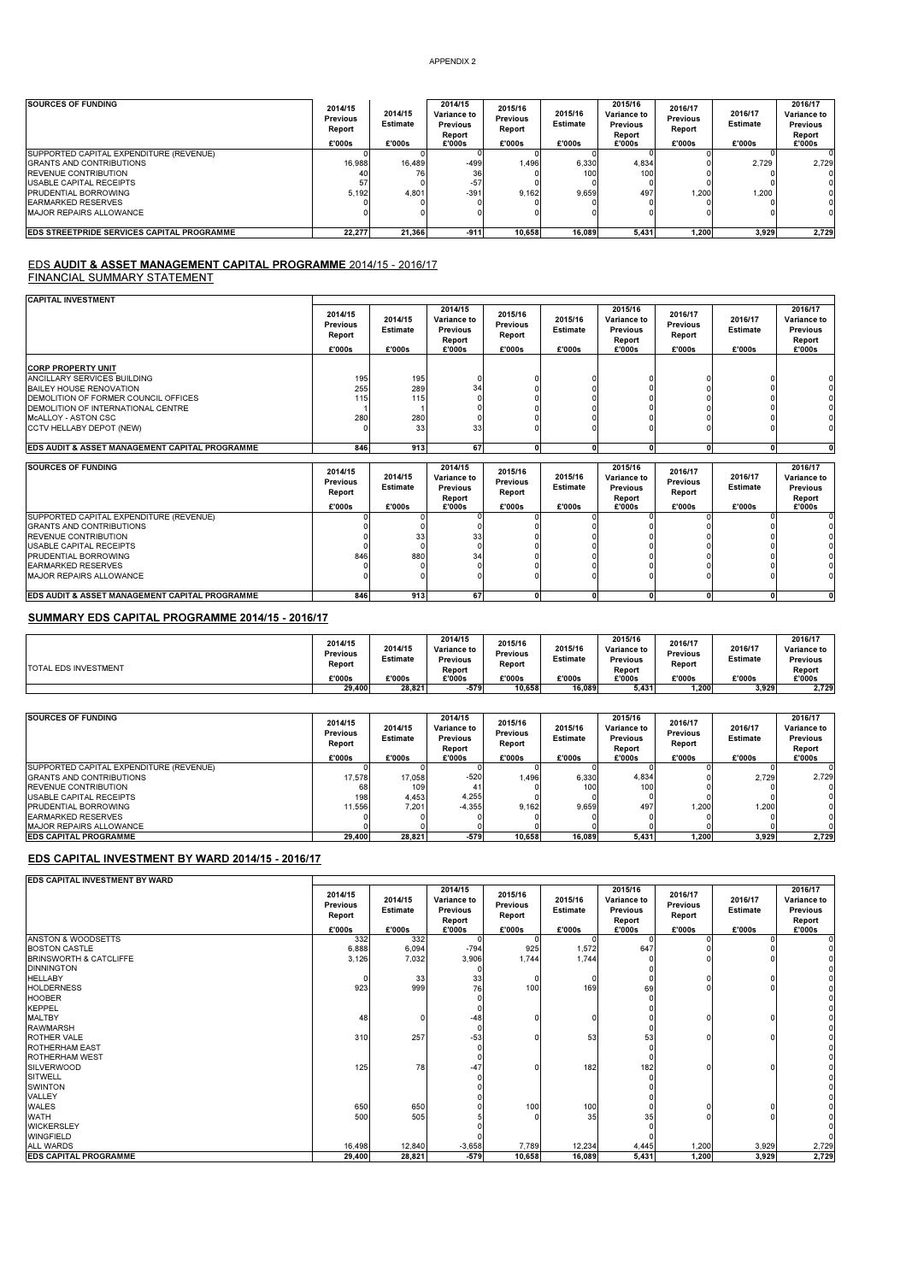| <b>SOURCES OF FUNDING</b>                         | 2014/15<br><b>Previous</b><br>Report<br>£'000s | 2014/15<br><b>Estimate</b><br>£'000s | 2014/15<br>Variance to<br><b>Previous</b><br>Report<br>£'000s | 2015/16<br><b>Previous</b><br>Report<br>£'000s | 2015/16<br>Estimate<br>£'000s | 2015/16<br>Variance to<br>Previous<br>Report<br>£'000s | 2016/17<br><b>Previous</b><br>Report<br>£'000s | 2016/17<br>Estimate<br>£'000s | 2016/17<br>Variance to<br><b>Previous</b><br>Report<br>£'000s |
|---------------------------------------------------|------------------------------------------------|--------------------------------------|---------------------------------------------------------------|------------------------------------------------|-------------------------------|--------------------------------------------------------|------------------------------------------------|-------------------------------|---------------------------------------------------------------|
| SUPPORTED CAPITAL EXPENDITURE (REVENUE)           |                                                |                                      |                                                               |                                                |                               |                                                        |                                                |                               |                                                               |
| <b>GRANTS AND CONTRIBUTIONS</b>                   | 16,988                                         | 16.489                               | $-499$                                                        | 1.496                                          | 6,330                         | 4,834                                                  |                                                | 2,729                         | 2.729                                                         |
| <b>REVENUE CONTRIBUTION</b>                       | 40                                             |                                      | 36                                                            |                                                | 100                           | 100                                                    |                                                |                               |                                                               |
| USABLE CAPITAL RECEIPTS                           |                                                |                                      | $-57$                                                         |                                                |                               |                                                        |                                                |                               |                                                               |
| <b>PRUDENTIAL BORROWING</b>                       | 5.192                                          | 4,801                                | $-391$                                                        | 9.162                                          | 9.659                         | 497                                                    | .200                                           | 1.200                         |                                                               |
| <b>IEARMARKED RESERVES</b>                        |                                                |                                      |                                                               |                                                |                               |                                                        |                                                |                               |                                                               |
| MAJOR REPAIRS ALLOWANCE                           |                                                |                                      | 0                                                             |                                                |                               |                                                        |                                                |                               |                                                               |
| <b>EDS STREETPRIDE SERVICES CAPITAL PROGRAMME</b> | 22.277                                         | 21.366                               | $-911$                                                        | 10.658                                         | 16.089                        | 5.431                                                  | 1.200                                          | 3.929                         | 2.729                                                         |

# <mark>EDS AUDIT & ASSET MANAGEMENT CAPITAL PROGRAMME</mark> 2014/15 - 2016/17<br>FINANCIAL SUMMARY STATEMENT

| <b>CAPITAL INVESTMENT</b>                                                                                                                                                                                            |                                      |                                |                                                     |                                      |                            |                                                     |                                      |                            |                                                     |
|----------------------------------------------------------------------------------------------------------------------------------------------------------------------------------------------------------------------|--------------------------------------|--------------------------------|-----------------------------------------------------|--------------------------------------|----------------------------|-----------------------------------------------------|--------------------------------------|----------------------------|-----------------------------------------------------|
|                                                                                                                                                                                                                      | 2014/15<br><b>Previous</b><br>Report | 2014/15<br><b>Estimate</b>     | 2014/15<br>Variance to<br><b>Previous</b><br>Report | 2015/16<br><b>Previous</b><br>Report | 2015/16<br><b>Estimate</b> | 2015/16<br>Variance to<br><b>Previous</b><br>Report | 2016/17<br><b>Previous</b><br>Report | 2016/17<br><b>Estimate</b> | 2016/17<br>Variance to<br><b>Previous</b><br>Report |
|                                                                                                                                                                                                                      | £'000s                               | £'000s                         | £'000s                                              | £'000s                               | £'000s                     | £'000s                                              | £'000s                               | £'000s                     | £'000s                                              |
| <b>CORP PROPERTY UNIT</b><br>ANCILLARY SERVICES BUILDING<br>BAILEY HOUSE RENOVATION<br>DEMOLITION OF FORMER COUNCIL OFFICES<br>DEMOLITION OF INTERNATIONAL CENTRE<br>MCALLOY - ASTON CSC<br>CCTV HELLABY DEPOT (NEW) | 195<br>255<br>115<br>280             | 195<br>289<br>115<br>280<br>33 | 34<br>33                                            |                                      |                            |                                                     |                                      |                            |                                                     |
| EDS AUDIT & ASSET MANAGEMENT CAPITAL PROGRAMME                                                                                                                                                                       | 846                                  | 913                            | 67                                                  | $\mathbf{0}$                         | $\Omega$                   | n                                                   | n                                    |                            | $\mathbf{0}$                                        |
| <b>SOURCES OF FUNDING</b>                                                                                                                                                                                            | 2014/15<br><b>Previous</b><br>Report | 2014/15<br><b>Estimate</b>     | 2014/15<br>Variance to<br>Previous<br>Report        | 2015/16<br><b>Previous</b><br>Report | 2015/16<br><b>Estimate</b> | 2015/16<br>Variance to<br><b>Previous</b><br>Report | 2016/17<br><b>Previous</b><br>Report | 2016/17<br><b>Estimate</b> | 2016/17<br>Variance to<br><b>Previous</b><br>Report |
|                                                                                                                                                                                                                      | £'000s                               | £'000s                         | £'000s                                              | £'000s                               | £'000s                     | £'000s                                              | £'000s                               | £'000s                     | £'000s                                              |
| SUPPORTED CAPITAL EXPENDITURE (REVENUE)<br><b>GRANTS AND CONTRIBUTIONS</b><br>REVENUE CONTRIBUTION<br>USABLE CAPITAL RECEIPTS<br>PRUDENTIAL BORROWING<br><b>EARMARKED RESERVES</b><br><b>MAJOR REPAIRS ALLOWANCE</b> | 846                                  | 33<br>880                      | 33<br>34                                            |                                      |                            |                                                     |                                      |                            |                                                     |
| EDS AUDIT & ASSET MANAGEMENT CAPITAL PROGRAMME                                                                                                                                                                       | 846                                  | 913                            | 67                                                  | $\mathbf{0}$                         | $\mathbf{0}$               | n                                                   |                                      |                            | ΩI                                                  |

## SUMMARY EDS CAPITAL PROGRAMME 2014/15 - 2016/17

| <b>TOTAL EDS INVESTMENT</b> | 2014/15<br><b>Previous</b><br>Report<br>£'000s | 2014/15<br><b>Estimate</b><br>£'000s | 2014/15<br>Variance to<br>Previous<br>Report<br>£'000s | 2015/16<br>Previous<br>Report<br>£'000s | 2015/16<br><b>Estimate</b><br>£'000s | 2015/16<br>Variance to<br><b>Previous</b><br>Report<br>£'000s | 2016/17<br>Previous<br>Report<br>£'000s | 2016/17<br><b>Estimate</b><br>£'000s | 2016/17<br><b>Variance to</b><br><b>Previous</b><br>Report<br>£'000s |
|-----------------------------|------------------------------------------------|--------------------------------------|--------------------------------------------------------|-----------------------------------------|--------------------------------------|---------------------------------------------------------------|-----------------------------------------|--------------------------------------|----------------------------------------------------------------------|
|                             | 29.400                                         | 28.821                               | $-579$                                                 | 10.658                                  | 16.089                               | 5.431                                                         | .200                                    | 3.929                                | 2.729                                                                |

| SOURCES OF FUNDING                      | 2014/15<br><b>Previous</b><br>Report<br>£'000s | 2014/15<br><b>Estimate</b><br>£'000s | 2014/15<br>Variance to<br><b>Previous</b><br>Report<br>£'000s | 2015/16<br><b>Previous</b><br>Report<br>£'000s | 2015/16<br><b>Estimate</b><br>£'000s | 2015/16<br>Variance to<br><b>Previous</b><br>Report<br>£'000s | 2016/17<br><b>Previous</b><br>Report<br>£'000s | 2016/17<br>Estimate<br>£'000s | 2016/17<br>Variance to<br><b>Previous</b><br>Report<br>£'000s |
|-----------------------------------------|------------------------------------------------|--------------------------------------|---------------------------------------------------------------|------------------------------------------------|--------------------------------------|---------------------------------------------------------------|------------------------------------------------|-------------------------------|---------------------------------------------------------------|
| SUPPORTED CAPITAL EXPENDITURE (REVENUE) |                                                |                                      |                                                               |                                                |                                      |                                                               |                                                |                               |                                                               |
| <b>GRANTS AND CONTRIBUTIONS</b>         | 17.578                                         | 17.058                               | $-520$                                                        | 1.496                                          | 6.330                                | 4.834                                                         |                                                | 2.729                         | 2.729                                                         |
| <b>REVENUE CONTRIBUTION</b>             | 68                                             | 109                                  |                                                               |                                                | 100                                  | 100                                                           |                                                |                               |                                                               |
| USABLE CAPITAL RECEIPTS                 | 198                                            | 4.453                                | 4.255                                                         |                                                |                                      |                                                               |                                                |                               |                                                               |
| <b>PRUDENTIAL BORROWING</b>             | 11.556                                         | 7.201                                | $-4.355$                                                      | 9.162                                          | 9.659                                | 497                                                           | 1.200                                          | 1.200                         |                                                               |
| <b>EARMARKED RESERVES</b>               |                                                |                                      |                                                               |                                                |                                      |                                                               |                                                |                               |                                                               |
| <b>MAJOR REPAIRS ALLOWANCE</b>          |                                                |                                      |                                                               |                                                |                                      |                                                               |                                                |                               |                                                               |
| <b>EDS CAPITAL PROGRAMME</b>            | 29.400                                         | 28.821                               | $-579$                                                        | 10.658                                         | 16.089                               | 5.431                                                         | 1.200                                          | 3.929                         | 2,729                                                         |

### EDS CAPITAL INVESTMENT BY WARD 2014/15 - 2016/17

| EDS CAPITAL INVESTMENT BY WARD |                                      |                            |                                                     |                                      |                            |                                                            |                                      |                            |                                                     |
|--------------------------------|--------------------------------------|----------------------------|-----------------------------------------------------|--------------------------------------|----------------------------|------------------------------------------------------------|--------------------------------------|----------------------------|-----------------------------------------------------|
|                                | 2014/15<br><b>Previous</b><br>Report | 2014/15<br><b>Estimate</b> | 2014/15<br>Variance to<br><b>Previous</b><br>Report | 2015/16<br><b>Previous</b><br>Report | 2015/16<br><b>Estimate</b> | 2015/16<br><b>Variance to</b><br><b>Previous</b><br>Report | 2016/17<br><b>Previous</b><br>Report | 2016/17<br><b>Estimate</b> | 2016/17<br>Variance to<br><b>Previous</b><br>Report |
|                                | £'000s                               | £'000s                     | £'000s                                              | £'000s                               | £'000s                     | £'000s                                                     | £'000s                               | £'000s                     | £'000s                                              |
| <b>ANSTON &amp; WOODSETTS</b>  | 332                                  | 332                        |                                                     |                                      |                            |                                                            |                                      |                            |                                                     |
| <b>BOSTON CASTLE</b>           | 6,888                                | 6,094                      | $-794$                                              | 925                                  | 1,572                      | 647                                                        |                                      |                            |                                                     |
| BRINSWORTH & CATCLIFFE         | 3,126                                | 7,032                      | 3,906                                               | 1,744                                | 1,744                      |                                                            |                                      |                            |                                                     |
| <b>DINNINGTON</b>              |                                      |                            |                                                     |                                      |                            |                                                            |                                      |                            |                                                     |
| <b>HELLABY</b>                 |                                      | 33                         | 33                                                  | 0                                    |                            |                                                            |                                      |                            |                                                     |
| <b>HOLDERNESS</b>              | 923                                  | 999                        | 76                                                  | 100                                  | 169                        | 69                                                         |                                      |                            |                                                     |
| <b>HOOBER</b>                  |                                      |                            |                                                     |                                      |                            |                                                            |                                      |                            |                                                     |
| <b>KEPPEL</b>                  |                                      |                            |                                                     |                                      |                            |                                                            |                                      |                            |                                                     |
| <b>MALTBY</b>                  | 48                                   | $\Omega$                   | $-48$                                               |                                      |                            |                                                            |                                      |                            |                                                     |
| <b>RAWMARSH</b>                |                                      |                            |                                                     |                                      |                            |                                                            |                                      |                            |                                                     |
| ROTHER VALE                    | 310                                  | 257                        | $-53$                                               |                                      | 53                         | 53                                                         |                                      |                            |                                                     |
| <b>ROTHERHAM EAST</b>          |                                      |                            |                                                     |                                      |                            |                                                            |                                      |                            |                                                     |
| <b>ROTHERHAM WEST</b>          |                                      |                            |                                                     |                                      |                            |                                                            |                                      |                            |                                                     |
| <b>SILVERWOOD</b>              | 125                                  | 78                         | $-47$                                               |                                      | 182                        | 182                                                        |                                      |                            |                                                     |
| <b>SITWELL</b>                 |                                      |                            |                                                     |                                      |                            |                                                            |                                      |                            |                                                     |
| <b>SWINTON</b>                 |                                      |                            |                                                     |                                      |                            |                                                            |                                      |                            |                                                     |
| VALLEY                         |                                      |                            |                                                     |                                      |                            |                                                            |                                      |                            |                                                     |
| <b>WALES</b>                   | 650                                  | 650                        |                                                     | 100                                  | 100                        |                                                            |                                      |                            |                                                     |
| <b>WATH</b>                    | 500                                  | 505                        |                                                     |                                      | 35                         | 35                                                         |                                      |                            |                                                     |
| <b>WICKERSLEY</b>              |                                      |                            |                                                     |                                      |                            |                                                            |                                      |                            |                                                     |
| <b>WINGFIELD</b>               |                                      |                            |                                                     |                                      |                            |                                                            |                                      |                            |                                                     |
| <b>ALL WARDS</b>               | 16,498                               | 12,840                     | $-3,658$                                            | 7,789                                | 12,234                     | 4,445                                                      | 1,200                                | 3,929                      | 2,729                                               |
| <b>EDS CAPITAL PROGRAMME</b>   | 29,400                               | 28,821                     | $-579$                                              | 10,658                               | 16,089                     | 5,431                                                      | 1,200                                | 3,929                      | 2,729                                               |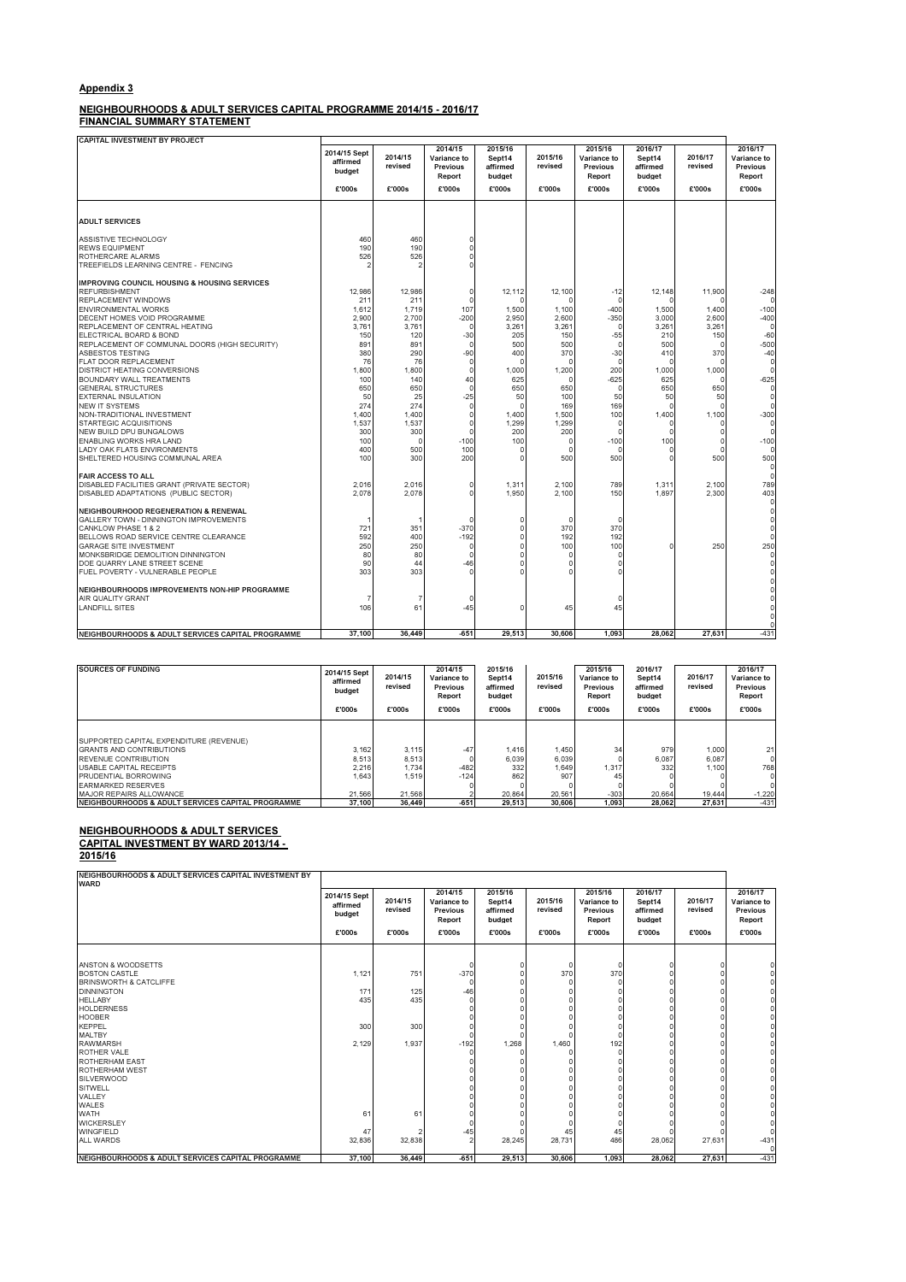### Appendix 3

NEIGHBOURHOODS & ADULT SERVICES CAPITAL PROGRAMME 2014/15 - 2016/17

FINANCIAL SUMMARY STATEMENT

| <b>CAPITAL INVESTMENT BY PROJECT</b>                                           |                                    |                    |                                              |                                         |                    |                                                     |                                         |                    |                                              |
|--------------------------------------------------------------------------------|------------------------------------|--------------------|----------------------------------------------|-----------------------------------------|--------------------|-----------------------------------------------------|-----------------------------------------|--------------------|----------------------------------------------|
|                                                                                | 2014/15 Sept<br>affirmed<br>budget | 2014/15<br>revised | 2014/15<br>Variance to<br>Previous<br>Report | 2015/16<br>Sept14<br>affirmed<br>budget | 2015/16<br>revised | 2015/16<br>Variance to<br><b>Previous</b><br>Report | 2016/17<br>Sept14<br>affirmed<br>budget | 2016/17<br>revised | 2016/17<br>Variance to<br>Previous<br>Report |
|                                                                                | £'000s                             | £'000s             | £'000s                                       | £'000s                                  | £'000s             | £'000s                                              | £'000s                                  | £'000s             | £'000s                                       |
|                                                                                |                                    |                    |                                              |                                         |                    |                                                     |                                         |                    |                                              |
| <b>ADULT SERVICES</b>                                                          |                                    |                    |                                              |                                         |                    |                                                     |                                         |                    |                                              |
| ASSISTIVE TECHNOLOGY                                                           | 460                                | 460<br>190         | $\Omega$<br>$\Omega$                         |                                         |                    |                                                     |                                         |                    |                                              |
| <b>REWS EQUIPMENT</b>                                                          | 190                                |                    |                                              |                                         |                    |                                                     |                                         |                    |                                              |
| ROTHERCARE ALARMS<br>TREEFIELDS LEARNING CENTRE - FENCING                      | 526<br>2                           | 526                | $\Omega$<br>$\Omega$                         |                                         |                    |                                                     |                                         |                    |                                              |
| <b>IMPROVING COUNCIL HOUSING &amp; HOUSING SERVICES</b>                        |                                    |                    |                                              |                                         |                    |                                                     |                                         |                    |                                              |
| <b>REFURBISHMENT</b>                                                           | 12.986                             | 12.986             | 0                                            | 12,112                                  | 12,100             | $-12$                                               | 12,148                                  | 11,900             | $-248$                                       |
| REPLACEMENT WINDOWS                                                            | 211                                | 211                | n                                            |                                         |                    | ſ                                                   |                                         |                    | c                                            |
| <b>ENVIRONMENTAL WORKS</b>                                                     | 1,612                              | 1,719              | 107                                          | 1.500                                   | 1,100              | $-400$                                              | 1,500                                   | 1.400              | $-100$                                       |
| DECENT HOMES VOID PROGRAMME                                                    | 2,900                              | 2.700              | $-200$                                       | 2,950                                   | 2,600              | $-350$                                              | 3,000                                   | 2,600              | $-400$                                       |
| REPLACEMENT OF CENTRAL HEATING                                                 | 3.761                              | 3.761              | O                                            | 3,261                                   | 3.261              | $\circ$                                             | 3,261                                   | 3.261              | $\circ$                                      |
| ELECTRICAL BOARD & BOND                                                        | 150                                | 120                | $-30$                                        | 205                                     | 150                | $-55$                                               | 210                                     | 150                | $-60$                                        |
| REPLACEMENT OF COMMUNAL DOORS (HIGH SECURITY)                                  | 891                                | 891                | O                                            | 500                                     | 500                | $\Omega$                                            | 500                                     |                    | $-500$                                       |
| ASBESTOS TESTING                                                               | 380                                | 290                | $-90$                                        | 400                                     | 370                | $-30$                                               | 410                                     | 370                | $-40$                                        |
| FLAT DOOR REPLACEMENT                                                          | 76                                 | 76                 | O<br>$\Omega$                                | $\Omega$                                | n                  | $\mathfrak{c}$<br>200                               | C                                       |                    | $\mathbf 0$<br>$\Omega$                      |
| <b>DISTRICT HEATING CONVERSIONS</b><br>BOUNDARY WALL TREATMENTS                | 1.800                              | 1.800              |                                              | 1,000<br>625                            | 1,200<br>$\Omega$  | $-625$                                              | 1,000<br>625                            | 1,000              | $-625$                                       |
| <b>GENERAL STRUCTURES</b>                                                      | 100<br>650                         | 140<br>650         | 40<br>0                                      | 650                                     | 650                | $\Omega$                                            | 650                                     | 650                | $\mathbf 0$                                  |
| <b>EXTERNAL INSULATION</b>                                                     | 50                                 | 25                 | $-25$                                        | 50                                      | 100                | 50                                                  | 50                                      | 50                 | $\circ$                                      |
| <b>NEW IT SYSTEMS</b>                                                          | 274                                | 274                | $\Omega$                                     | $\Omega$                                | 169                | 169                                                 | C                                       |                    | $\Omega$                                     |
| NON-TRADITIONAL INVESTMENT                                                     | 1,400                              | 1,400              | 0                                            | 1,400                                   | 1,500              | 100                                                 | 1,400                                   | 1,100              | $-300$                                       |
| STARTEGIC ACQUISITIONS                                                         | 1,537                              | 1,537              | $\Omega$                                     | 1,299                                   | 1,299              | $\sqrt{ }$                                          | C                                       |                    | $\Omega$                                     |
| NEW BUILD DPU BUNGALOWS                                                        | 300                                | 300                | n                                            | 200                                     | 200                | C                                                   | C                                       |                    | $\Omega$                                     |
| ENABLING WORKS HRA LAND                                                        | 100                                | $\Omega$           | $-100$                                       | 100                                     | $\Omega$           | $-100$                                              | 100                                     |                    | $-100$                                       |
| LADY OAK FLATS ENVIRONMENTS                                                    | 400                                | 500                | 100                                          | n                                       | $\Omega$           | $\sqrt{ }$                                          | C                                       |                    | $\Omega$                                     |
| SHELTERED HOUSING COMMUNAL AREA                                                | 100                                | 300                | 200                                          | n                                       | 500                | 500                                                 | C                                       | 500                | 500                                          |
| <b>FAIR ACCESS TO ALL</b>                                                      |                                    |                    |                                              |                                         |                    |                                                     |                                         |                    | $\mathbf 0$<br>$\Omega$                      |
| DISABLED FACILITIES GRANT (PRIVATE SECTOR)                                     | 2.016                              | 2.016              | O                                            | 1,311                                   | 2,100              | 789                                                 | 1,311                                   | 2.100              | 789                                          |
| DISABLED ADAPTATIONS (PUBLIC SECTOR)                                           | 2.078                              | 2.078              | 0                                            | 1.950                                   | 2.100              | 150                                                 | 1.897                                   | 2.300              | 403<br>0                                     |
| NEIGHBOURHOOD REGENERATION & RENEWAL<br>GALLERY TOWN - DINNINGTON IMPROVEMENTS |                                    | 1                  | n                                            | n                                       | 0                  | $\Omega$                                            |                                         |                    | $\circ$<br>0                                 |
| CANKLOW PHASE 1 & 2                                                            | 721                                | 351                | $-370$                                       |                                         | 370                | 370                                                 |                                         |                    | 0                                            |
| BELLOWS ROAD SERVICE CENTRE CLEARANCE                                          | 592                                | 400                | $-192$                                       |                                         | 192                | 192                                                 |                                         |                    | $\Omega$                                     |
| <b>GARAGE SITE INVESTMENT</b>                                                  | 250                                | 250                | $\Omega$                                     |                                         | 100                | 100                                                 | C                                       | 250                | 250                                          |
| MONKSBRIDGE DEMOLITION DINNINGTON                                              | 80                                 | 80                 | $\Omega$                                     |                                         | $\Omega$           | C                                                   |                                         |                    | 0                                            |
| DOE QUARRY LANE STREET SCENE                                                   | 90                                 | 44                 | $-46$                                        |                                         | $\Omega$           | n                                                   |                                         |                    | 0                                            |
| FUEL POVERTY - VULNERABLE PEOPLE                                               | 303                                | 303                | $\Omega$                                     |                                         | $\Omega$           |                                                     |                                         |                    | 0                                            |
| NEIGHBOURHOODS IMPROVEMENTS NON-HIP PROGRAMME                                  |                                    |                    |                                              |                                         |                    |                                                     |                                         |                    | 0<br>$\mathbf 0$                             |
| AIR QUALITY GRANT                                                              | 7                                  | 7                  | 0                                            |                                         |                    | $\Omega$                                            |                                         |                    | $\Omega$                                     |
| <b>LANDFILL SITES</b>                                                          | 106                                | 61                 | $-45$                                        |                                         | 45                 | 45                                                  |                                         |                    | $\Omega$                                     |
|                                                                                |                                    |                    |                                              |                                         |                    |                                                     |                                         |                    | $\Omega$<br>$\Omega$                         |
| NEIGHBOURHOODS & ADULT SERVICES CAPITAL PROGRAMME                              | 37.100                             | 36.449             | $-651$                                       | 29.513                                  | 30,606             | 1.093                                               | 28.062                                  | 27.631             | $-431$                                       |

| <b>SOURCES OF FUNDING</b>                                      | 2014/15 Sept<br>affirmed<br>budget<br>£'000s | 2014/15<br>revised<br>£'000s | 2014/15<br>Variance to<br><b>Previous</b><br>Report<br>£'000s | 2015/16<br>Sept14<br>affirmed<br>budget<br>£'000s | 2015/16<br>revised<br>£'000s | 2015/16<br>Variance to<br><b>Previous</b><br>Report<br>£'000s | 2016/17<br>Sept14<br>affirmed<br>budget<br>£'000s | 2016/17<br>revised<br>£'000s | 2016/17<br>Variance to<br>Previous<br>Report<br>£'000s |
|----------------------------------------------------------------|----------------------------------------------|------------------------------|---------------------------------------------------------------|---------------------------------------------------|------------------------------|---------------------------------------------------------------|---------------------------------------------------|------------------------------|--------------------------------------------------------|
| <b>SUPPORTED CAPITAL EXPENDITURE (REVENUE)</b>                 |                                              |                              |                                                               |                                                   |                              |                                                               |                                                   |                              |                                                        |
| <b>GRANTS AND CONTRIBUTIONS</b><br><b>REVENUE CONTRIBUTION</b> | 3,162<br>8.513                               | 3,115<br>8,513               | $-47$                                                         | 1.416<br>6.039                                    | 1,450<br>6.039               | 34                                                            | 979<br>6.087                                      | 1,000<br>6.087               | 21<br>$\Omega$                                         |
| <b>USABLE CAPITAL RECEIPTS</b>                                 | 2,216                                        | 1.734                        | $-482$                                                        | 332                                               | 1.649                        | 1.317                                                         | 332                                               | 1,100                        | 768                                                    |
| PRUDENTIAL BORROWING                                           | 1.643                                        | 1.519                        | $-124$                                                        | 862                                               | 907                          |                                                               |                                                   |                              |                                                        |
| <b>FARMARKED RESERVES</b>                                      |                                              |                              |                                                               |                                                   |                              |                                                               |                                                   |                              |                                                        |
| MAJOR REPAIRS ALLOWANCE                                        | 21.566                                       | 21.568                       |                                                               | 20.864                                            | 20.561                       | $-303$                                                        | 20.664                                            | 19.444                       | $-1,220$                                               |
| NEIGHBOURHOODS & ADULT SERVICES CAPITAL PROGRAMME              | 37.100                                       | 36,449                       | $-651$                                                        | 29.513                                            | 30,606                       | 1.093                                                         | 28.062                                            | 27.631                       | $-431$                                                 |

NEIGHBOURHOODS & ADULT SERVICES CAPITAL PROGRAMME 37,100 36,449 -651 29,513 30,606 1,093 28,062 27,631 - 431

2016/17 Sept14 affirmed budget

2016/17 revised

2016/17 Variance to Previous Report

0

### NEIGHBOURHOODS & ADULT SERVICES CAPITAL INVESTMENT BY WARD 2013/14 -

2015/16

NEIGHBOURHOODS & ADULT SERVICES CAPITAL INVESTMENT BY udion<br>VARD 2014/15 Sept affirmed budget 2014/15 revised 2014/15 Variance to Previous Report 2015/16 Sept14 affirmed budget 2015/16 revised 2015/16 Variance to Previous Report £'000s £'000s £'000s £'000s £'000s £'000s £'000s £'000s £'000s ANSTON & WOODSETTS<br>
BOSTON CASTLE<br>
BOSTON CASTLE<br>
DINNINGTON<br>
MALIADY<br>
MODERNESS<br>
HODERNESS<br>
HODERNESS<br>
HODERNESS<br>
HODERNESS<br>
MALIADY<br>
MALIADY<br>
MALIADY<br>
MALIADY<br>
MALIADY<br>
MALIADY<br>
MALIADY<br>
MALIADY<br>
MALIADY<br>
MALIADY<br>
MALIAD ROTHERHAM EAST<br>
ROTHERHAM EAST<br>
SILVERWOOD<br>
SILVERWOOD<br>
VALLEY<br>
VALLEY<br>
VALLEY<br>
VANGERSLEY<br>
VALLEY<br>
VALLEY<br>
VALLEY<br>
VALLEY<br>
VALLEY<br>
VALLEY<br>
VALLEY<br>
VALLEY<br>
COLL VARDS<br>
COLL VARDS<br>
COLL VARDS<br>
COLL VARDS<br>
COLL VARDS<br>
COLL V